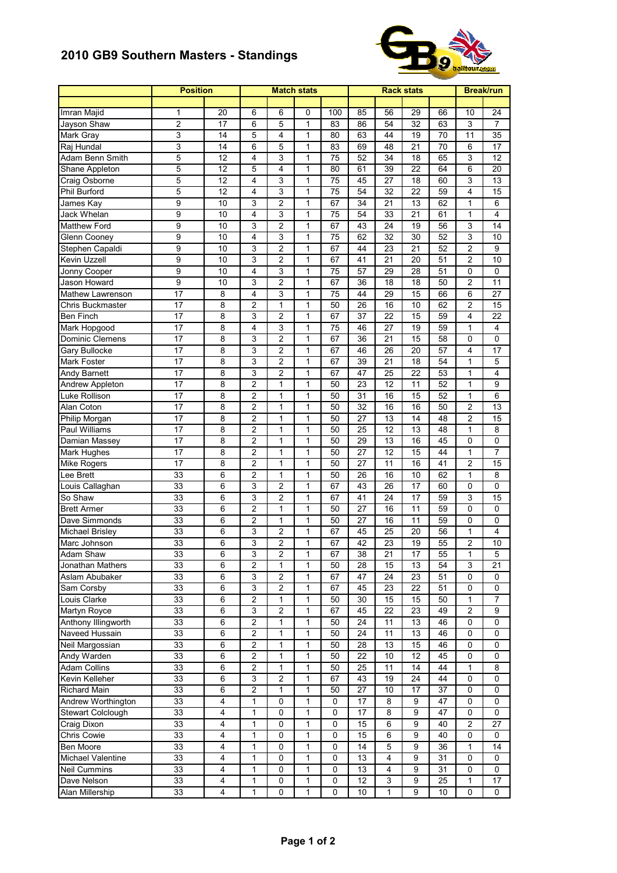## **2010 GB9 Southern Masters - Standings**



|                             | <b>Position</b>  |                 | <b>Match stats</b> |                |              |                 |                 | <b>Break/run</b>        |                 |                 |                         |  |
|-----------------------------|------------------|-----------------|--------------------|----------------|--------------|-----------------|-----------------|-------------------------|-----------------|-----------------|-------------------------|--|
|                             |                  |                 |                    |                |              |                 |                 |                         |                 |                 |                         |  |
| Imran Majid                 | 1                | 20              | 6                  | 6              | 0            | 100             | 85              | 56                      | 29              | 66              | 10                      |  |
| Jayson Shaw                 | $\overline{c}$   | 17              | 6                  | 5              | $\mathbf{1}$ | 83              | 86              | 54                      | $\overline{32}$ | 63              | 3                       |  |
| Mark Gray                   | 3                | 14              | 5                  | 4              | 1            | 80              | 63              | 44                      | 19              | 70              | 11                      |  |
| Raj Hundal                  | 3                | 14              | 6                  | 5              | 1            | 83              | 69              | 48                      | 21              | 70              | 6                       |  |
| Adam Benn Smith             | $\overline{5}$   | 12              | 4                  | 3              | $\mathbf{1}$ | 75              | 52              | 34                      | 18              | 65              | 3                       |  |
| Shane Appleton              | 5                | 12              | 5                  | 4              | 1            | 80              | 61              | 39                      | $\overline{22}$ | 64              | 6                       |  |
| Craig Osborne               | 5                | 12              | 4                  | 3              | $\mathbf{1}$ | 75              | 45              | 27                      | 18              | 60              | 3                       |  |
| <b>Phil Burford</b>         | 5                | $\overline{12}$ | 4                  | 3              | $\mathbf{1}$ | $\overline{75}$ | $\overline{54}$ | $\overline{32}$         | $\overline{22}$ | 59              | 4                       |  |
| James Kay                   | 9                | 10              | 3                  | 2              | 1            | 67              | 34              | 21                      | 13              | 62              | 1                       |  |
| <b>Jack Whelan</b>          | 9                | 10              | 4                  | 3              | 1            | 75              | 54              | 33                      | 21              | 61              | 1                       |  |
| <b>Matthew Ford</b>         | $\overline{9}$   | 10              | 3                  | $\overline{2}$ | $\mathbf{1}$ | 67              | 43              | $\overline{24}$         | 19              | 56              | 3                       |  |
| Glenn Cooney                | $\overline{9}$   | 10              | 4                  | 3              | $\mathbf{1}$ | 75              | 62              | 32                      | 30              | 52              | 3                       |  |
| Stephen Capaldi             | $\boldsymbol{9}$ | 10              | 3                  | $\overline{c}$ | $\mathbf{1}$ | 67              | 44              | 23                      | 21              | 52              | $\overline{c}$          |  |
| Kevin Uzzell                | 9                | 10              | 3                  | $\overline{c}$ | 1            | 67              | 41              | 21                      | 20              | 51              | 2                       |  |
| Jonny Cooper                | $\boldsymbol{9}$ | 10              | 4                  | 3              | $\mathbf{1}$ | 75              | 57              | 29                      | 28              | 51              | 0                       |  |
| Jason Howard                | $\overline{9}$   | 10              | 3                  | $\overline{2}$ | $\mathbf{1}$ | 67              | 36              | 18                      | 18              | 50              | $\overline{\mathbf{c}}$ |  |
| Mathew Lawrenson            | 17               | 8               | 4                  | 3              | 1            | 75              | 44              | 29                      | 15              | 66              | 6                       |  |
| Chris Buckmaster            | 17               | 8               | $\overline{c}$     | $\mathbf{1}$   | 1            | 50              | 26              | 16                      | 10              | 62              | 2                       |  |
| <b>Ben Finch</b>            | 17               | 8               | 3                  | $\overline{2}$ | $\mathbf{1}$ | 67              | 37              | 22                      | 15              | 59              | 4                       |  |
| Mark Hopgood                | 17               | 8               | 4                  | 3              | 1            | 75              | 46              | 27                      | 19              | 59              | 1                       |  |
| Dominic Clemens             | 17               | 8               | 3                  | $\overline{c}$ | 1            | 67              | 36              | 21                      | 15              | 58              | 0                       |  |
| Gary Bullocke               | 17               | 8               | 3                  | $\overline{2}$ | $\mathbf{1}$ | 67              | 46              | 26                      | 20              | 57              | 4                       |  |
| Mark Foster                 | $\overline{17}$  | 8               | 3                  | $\overline{2}$ | 1            | 67              | 39              | $\overline{21}$         | $\overline{18}$ | 54              | 1                       |  |
| <b>Andy Barnett</b>         | 17               | 8               | 3                  | $\overline{2}$ | $\mathbf{1}$ | 67              | 47              | 25                      | 22              | 53              | 1                       |  |
| Andrew Appleton             | 17               | 8               | $\overline{c}$     | $\mathbf{1}$   | $\mathbf{1}$ | 50              | 23              | 12                      | 11              | 52              | $\mathbf{1}$            |  |
| Luke Rollison               | 17               | 8               | $\overline{c}$     | 1              | 1            | 50              | 31              | 16                      | 15              | 52              | $\mathbf 1$             |  |
| Alan Coton                  | 17               | 8               | $\overline{c}$     | $\mathbf{1}$   | 1            | 50              | 32              | 16                      | 16              | 50              | $\overline{c}$          |  |
| Philip Morgan               | 17               | 8               | $\overline{2}$     | $\mathbf{1}$   | 1            | 50              | 27              | 13                      | 14              | 48              | $\overline{c}$          |  |
| Paul Williams               | 17               | 8               | $\overline{c}$     | $\mathbf{1}$   | $\mathbf{1}$ | 50              | 25              | 12                      | 13              | 48              | $\mathbf{1}$            |  |
| Damian Massey               | 17               | 8               | $\overline{c}$     | $\mathbf{1}$   | $\mathbf{1}$ | 50              | 29              | 13                      | 16              | 45              | 0                       |  |
| Mark Hughes                 | 17               | 8               | $\overline{c}$     | $\mathbf{1}$   | 1            | 50              | 27              | 12                      | 15              | 44              | 1                       |  |
| <b>Mike Rogers</b>          | 17               | 8               | 2                  | 1              | 1            | 50              | 27              | 11                      | 16              | 41              | $\overline{c}$          |  |
| Lee Brett                   | 33               | 6               | $\overline{2}$     | 1              | $\mathbf{1}$ | 50              | 26              | 16                      | 10              | 62              | $\mathbf 1$             |  |
| Louis Callaghan             | 33               | 6               | 3                  | $\overline{2}$ | 1            | 67              | 43              | 26                      | 17              | 60              | 0                       |  |
| So Shaw                     | 33               | 6               | 3                  | $\overline{2}$ | $\mathbf{1}$ | 67              | 41              | 24                      | 17              | 59              | 3                       |  |
| <b>Brett Armer</b>          | 33               | 6               | $\overline{c}$     | 1              | $\mathbf{1}$ | 50              | $\overline{27}$ | 16                      | 11              | 59              | 0                       |  |
| Dave Simmonds               | 33               | 6               | $\overline{c}$     | $\mathbf{1}$   | 1            | 50              | 27              | 16                      | 11              | 59              | 0                       |  |
| Michael Brisley             | 33               | 6               | 3                  | 2              | $\mathbf{1}$ | 67              | 45              | 25                      | 20              | 56              | 1                       |  |
| Marc Johnson                | 33               | 6               | 3                  | $\overline{c}$ | 1            | 67              | 42              | 23                      | 19              | 55              | $\overline{2}$          |  |
| Adam Shaw                   | 33               | 6               | 3                  | 2              | 1            | 67              | 38              | 21                      | 17              | 55              | 1                       |  |
| Jonathan Mathers            | 33               | 6               | $\overline{c}$     | $\mathbf{1}$   | $\mathbf{1}$ | 50              | $\overline{28}$ | 15                      | 13              | 54              | $\mathsf 3$             |  |
| Aslam Abubaker              | 33               | 6               | 3                  | 2              | 1            | 67              | 47              | 24                      | $\overline{23}$ | 51              | 0                       |  |
| Sam Corsby                  | 33               | 6               | 3                  | 2              | 1            | 67              | 45              | 23                      | 22              | 51              | 0                       |  |
| Louis Clarke                | 33               | 6               | $\overline{2}$     | 1              | 1            | 50              | 30              | 15                      | 15              | 50              | 1                       |  |
| Martyn Royce                | 33               | 6               | $\overline{3}$     | $\overline{c}$ | $\mathbf{1}$ | 67              | 45              | 22                      | 23              | 49              | $\overline{c}$          |  |
| Anthony Illingworth         | 33               | 6               | $\overline{2}$     | 1              | 1            | 50              | 24              | 11                      | 13              | 46              | 0                       |  |
| Naveed Hussain              | 33               | 6               | $\overline{c}$     | 1              | 1            | 50              | 24              | 11                      | 13              | 46              | 0                       |  |
| Neil Margossian             | 33               | 6               | $\overline{2}$     | 1              | 1            | 50              | 28              | 13                      | 15              | 46              | 0                       |  |
| Andy Warden                 | 33               | 6               | $\overline{2}$     | 1              | 1            | 50              | 22              | 10                      | 12              | 45              | 0                       |  |
| Adam Collins                | 33               | 6               | $\overline{c}$     | $\mathbf{1}$   | $\mathbf{1}$ | 50              | 25              | 11                      | 14              | 44              | $\mathbf 1$             |  |
| Kevin Kelleher              | 33               | 6               | $\overline{3}$     | $\overline{2}$ | $\mathbf{1}$ | 67              | 43              | 19                      | 24              | 44              | 0                       |  |
| Richard Main                | 33               | 6               | $\overline{c}$     | 1              | 1            | 50              | 27              | 10                      | 17              | $\overline{37}$ | 0                       |  |
| Andrew Worthington          | 33               | 4               | 1                  | 0              | 1            | $\pmb{0}$       | 17              | 8                       | 9               | 47              | 0                       |  |
| Stewart Colclough           | 33               | 4               | 1                  | 0              | 1            | 0               | 17              | 8                       | 9               | 47              | 0                       |  |
| Craig Dixon                 | 33               | 4               | 1                  | 0              | 1            | $\pmb{0}$       | 15              | 6                       | 9               | 40              | 2                       |  |
| Chris Cowie                 | 33               | 4               | 1                  | 0              | 1            | 0               | 15              | 6                       | 9               | 40              | 0                       |  |
| Ben Moore                   | 33               | 4               | $\mathbf{1}$       | 0              | 1            | 0               | 14              | 5                       | 9               | 36              | $\mathbf 1$             |  |
| Michael Valentine           | 33               | 4               | $\mathbf{1}$       | 0              | 1            | $\pmb{0}$       | 13              | $\overline{\mathbf{4}}$ | 9               | $\overline{31}$ | 0                       |  |
|                             | 33               | 4               | 1                  | 0              | 1            | 0               | 13              | 4                       | 9               | 31              | 0                       |  |
|                             |                  |                 |                    |                |              |                 |                 |                         |                 |                 |                         |  |
| Neil Cummins<br>Dave Nelson | 33               | 4               | 1                  | 0              | 1            | 0               | 12              | 3                       | 9               | 25              | 1                       |  |